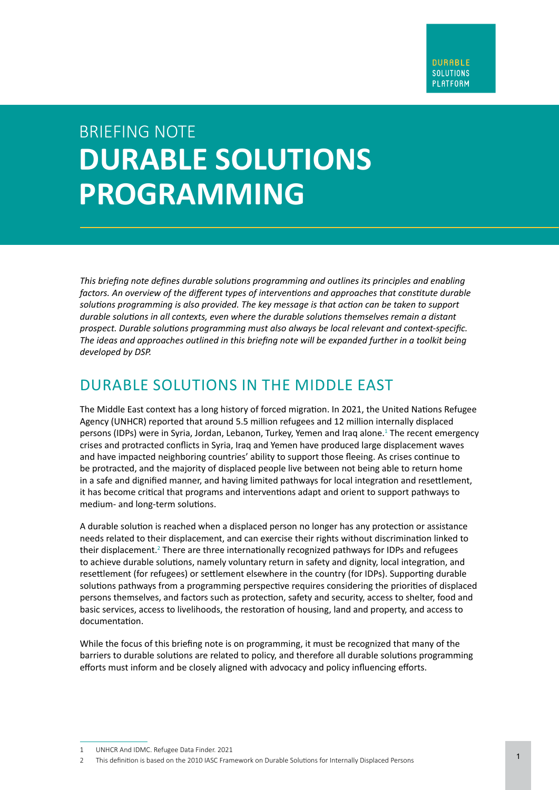# BRIEFING NOTE **DURABLE SOLUTIONS PROGRAMMING**

*factors. An overview of the different types of interventions and approaches that constitute durable*<br>colutions programming is also provided. The key message is that action can be taken to support *This briefing note defines durable solutions programming and outlines its principles and enabling solutions programming is also provided. The key message is that action can be taken to support durable solutions in all contexts, even where the durable solutions themselves remain a distant prospect. Durable solutions programming must also always be local relevant and context-specific. The ideas and approaches outlined in this briefing note will be expanded further in a toolkit being developed by DSP.*

#### DURABLE SOLUTIONS IN THE MIDDLE EAST

The Middle East context has a long history of forced migration. In 2021, the United Nations Refugee Agency (UNHCR) reported that around 5.5 million refugees and 12 million internally displaced persons (IDPs) were in Syria, Jordan, Lebanon, Turkey, Yemen and Iraq alone.<sup>1</sup> The recent emergency crises and protracted conflicts in Syria, Iraq and Yemen have produced large displacement waves and have impacted neighboring countries' ability to support those fleeing. As crises continue to be protracted, and the majority of displaced people live between not being able to return home in a safe and dignified manner, and having limited pathways for local integration and resettlement, it has become critical that programs and interventions adapt and orient to support pathways to medium- and long-term solutions.

A durable solution is reached when a displaced person no longer has any protection or assistance needs related to their displacement, and can exercise their rights without discrimination linked to their displacement.<sup>2</sup> There are three internationally recognized pathways for IDPs and refugees to achieve durable solutions, namely voluntary return in safety and dignity, local integration, and resettlement (for refugees) or settlement elsewhere in the country (for IDPs). Supporting durable solutions pathways from a programming perspective requires considering the priorities of displaced persons themselves, and factors such as protection, safety and security, access to shelter, food and basic services, access to livelihoods, the restoration of housing, land and property, and access to documentation.

While the focus of this briefing note is on programming, it must be recognized that many of the barriers to durable solutions are related to policy, and therefore all durable solutions programming efforts must inform and be closely aligned with advocacy and policy influencing efforts.

<sup>1</sup> UNHCR And IDMC. Refugee Data Finder. 2021

<sup>2</sup> This definition is based on the 2010 IASC Framework on Durable Solutions for Internally Displaced Persons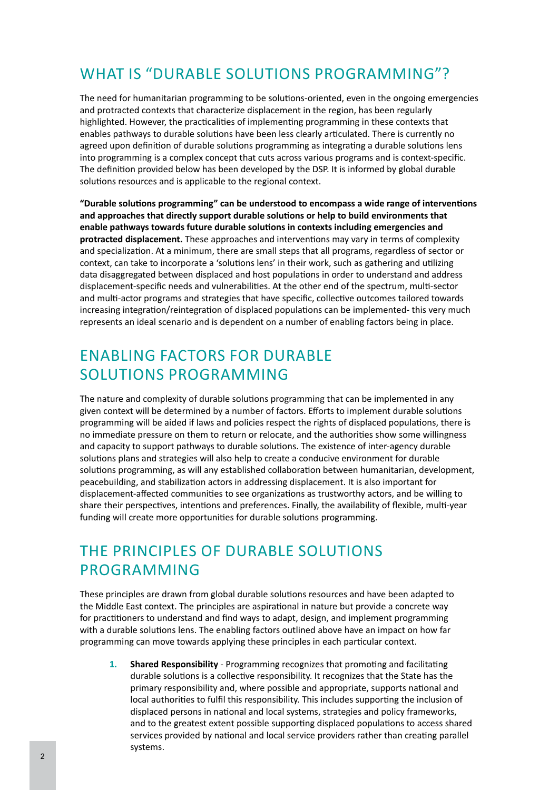## WHAT IS "DURABLE SOLUTIONS PROGRAMMING"?

The need for humanitarian programming to be solutions-oriented, even in the ongoing emergencies and protracted contexts that characterize displacement in the region, has been regularly highlighted. However, the practicalities of implementing programming in these contexts that enables pathways to durable solutions have been less clearly articulated. There is currently no agreed upon definition of durable solutions programming as integrating a durable solutions lens into programming is a complex concept that cuts across various programs and is context-specific. The definition provided below has been developed by the DSP. It is informed by global durable solutions resources and is applicable to the regional context.

**"Durable solutions programming" can be understood to encompass a wide range of interventions and approaches that directly support durable solutions or help to build environments that enable pathways towards future durable solutions in contexts including emergencies and protracted displacement.** These approaches and interventions may vary in terms of complexity and specialization. At a minimum, there are small steps that all programs, regardless of sector or context, can take to incorporate a 'solutions lens' in their work, such as gathering and utilizing data disaggregated between displaced and host populations in order to understand and address displacement-specific needs and vulnerabilities. At the other end of the spectrum, multi-sector and multi-actor programs and strategies that have specific, collective outcomes tailored towards increasing integration/reintegration of displaced populations can be implemented- this very much represents an ideal scenario and is dependent on a number of enabling factors being in place.

### ENABLING FACTORS FOR DURABLE SOLUTIONS PROGRAMMING

The nature and complexity of durable solutions programming that can be implemented in any given context will be determined by a number of factors. Efforts to implement durable solutions programming will be aided if laws and policies respect the rights of displaced populations, there is no immediate pressure on them to return or relocate, and the authorities show some willingness and capacity to support pathways to durable solutions. The existence of inter-agency durable solutions plans and strategies will also help to create a conducive environment for durable solutions programming, as will any established collaboration between humanitarian, development, peacebuilding, and stabilization actors in addressing displacement. It is also important for displacement-affected communities to see organizations as trustworthy actors, and be willing to share their perspectives, intentions and preferences. Finally, the availability of flexible, multi-year funding will create more opportunities for durable solutions programming.

## THE PRINCIPLES OF DURABLE SOLUTIONS PROGRAMMING

These principles are drawn from global durable solutions resources and have been adapted to the Middle East context. The principles are aspirational in nature but provide a concrete way for practitioners to understand and find ways to adapt, design, and implement programming with a durable solutions lens. The enabling factors outlined above have an impact on how far programming can move towards applying these principles in each particular context.

**1. Shared Responsibility** - Programming recognizes that promoting and facilitating durable solutions is a collective responsibility. It recognizes that the State has the primary responsibility and, where possible and appropriate, supports national and local authorities to fulfil this responsibility. This includes supporting the inclusion of displaced persons in national and local systems, strategies and policy frameworks, and to the greatest extent possible supporting displaced populations to access shared services provided by national and local service providers rather than creating parallel systems.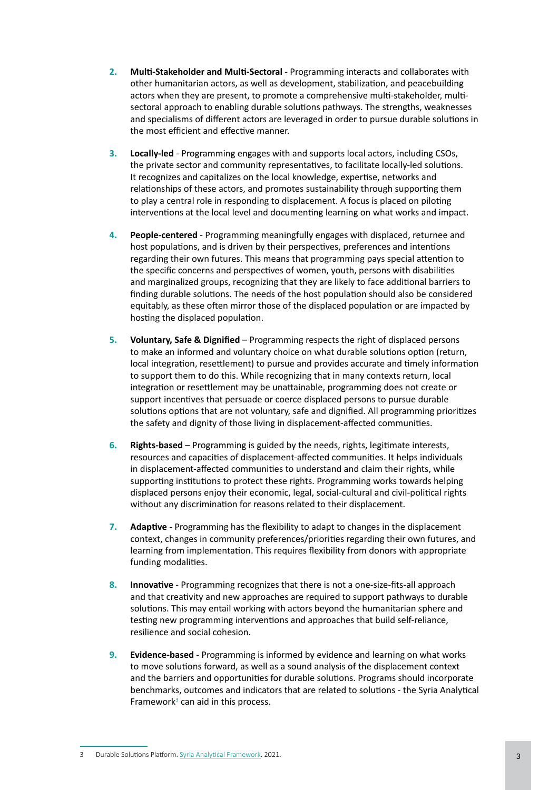- **2. Multi-Stakeholder and Multi-Sectoral**  Programming interacts and collaborates with other humanitarian actors, as well as development, stabilization, and peacebuilding actors when they are present, to promote a comprehensive multi-stakeholder, multisectoral approach to enabling durable solutions pathways. The strengths, weaknesses and specialisms of different actors are leveraged in order to pursue durable solutions in the most efficient and effective manner.
- **3. Locally-led** Programming engages with and supports local actors, including CSOs, the private sector and community representatives, to facilitate locally-led solutions. It recognizes and capitalizes on the local knowledge, expertise, networks and relationships of these actors, and promotes sustainability through supporting them to play a central role in responding to displacement. A focus is placed on piloting interventions at the local level and documenting learning on what works and impact.
- **4. People-centered** Programming meaningfully engages with displaced, returnee and host populations, and is driven by their perspectives, preferences and intentions regarding their own futures. This means that programming pays special attention to the specific concerns and perspectives of women, youth, persons with disabilities and marginalized groups, recognizing that they are likely to face additional barriers to finding durable solutions. The needs of the host population should also be considered equitably, as these often mirror those of the displaced population or are impacted by hosting the displaced population.
- **5. Voluntary, Safe & Dignified**  Programming respects the right of displaced persons to make an informed and voluntary choice on what durable solutions option (return, local integration, resettlement) to pursue and provides accurate and timely information to support them to do this. While recognizing that in many contexts return, local integration or resettlement may be unattainable, programming does not create or support incentives that persuade or coerce displaced persons to pursue durable solutions options that are not voluntary, safe and dignified. All programming prioritizes the safety and dignity of those living in displacement-affected communities.
- **6. Rights-based** Programming is guided by the needs, rights, legitimate interests, resources and capacities of displacement-affected communities. It helps individuals in displacement-affected communities to understand and claim their rights, while supporting institutions to protect these rights. Programming works towards helping displaced persons enjoy their economic, legal, social-cultural and civil-political rights without any discrimination for reasons related to their displacement.
- **7. Adaptive** Programming has the flexibility to adapt to changes in the displacement context, changes in community preferences/priorities regarding their own futures, and learning from implementation. This requires flexibility from donors with appropriate funding modalities.
- **8. Innovative** Programming recognizes that there is not a one-size-fits-all approach and that creativity and new approaches are required to support pathways to durable solutions. This may entail working with actors beyond the humanitarian sphere and testing new programming interventions and approaches that build self-reliance, resilience and social cohesion.
- **9. Evidence-based** Programming is informed by evidence and learning on what works to move solutions forward, as well as a sound analysis of the displacement context and the barriers and opportunities for durable solutions. Programs should incorporate benchmarks, outcomes and indicators that are related to solutions - the Syria Analytical Framework $3$  can aid in this process.

<sup>3</sup> Durable Solutions Platform. Syria Analytical [Framework](https://www.dsp-syria.org/sites/default/files/2021-02/SYRIA%20ANALYTICAL%20FRAMEWORK_0.pdf). 2021.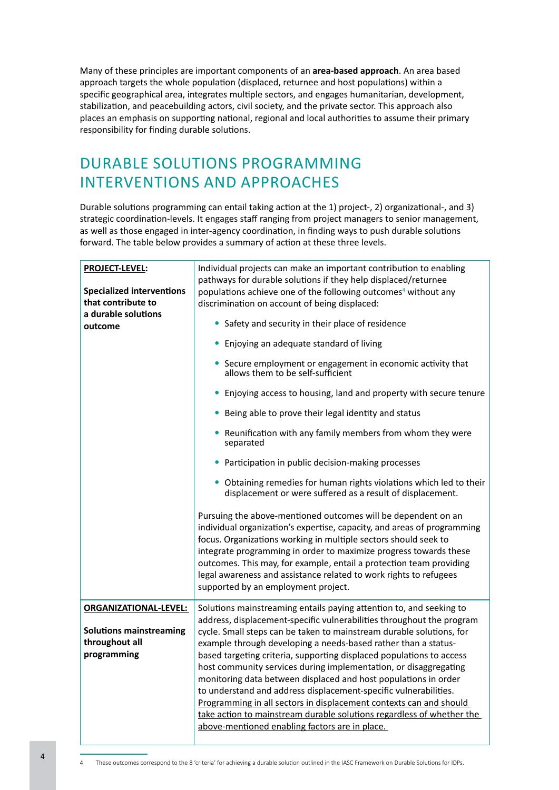Many of these principles are important components of an **area-based approach**. An area based approach targets the whole population (displaced, returnee and host populations) within a specific geographical area, integrates multiple sectors, and engages humanitarian, development, stabilization, and peacebuilding actors, civil society, and the private sector. This approach also places an emphasis on supporting national, regional and local authorities to assume their primary responsibility for finding durable solutions.

## DURABLE SOLUTIONS PROGRAMMING INTERVENTIONS AND APPROACHES

Durable solutions programming can entail taking action at the 1) project-, 2) organizational-, and 3) strategic coordination-levels. It engages staff ranging from project managers to senior management, as well as those engaged in inter-agency coordination, in finding ways to push durable solutions forward. The table below provides a summary of action at these three levels.

| <b>PROJECT-LEVEL:</b><br><b>Specialized interventions</b><br>that contribute to<br>a durable solutions<br>outcome | Individual projects can make an important contribution to enabling<br>pathways for durable solutions if they help displaced/returnee<br>populations achieve one of the following outcomes <sup>4</sup> without any<br>discrimination on account of being displaced:<br>• Safety and security in their place of residence<br>Enjoying an adequate standard of living<br>• Secure employment or engagement in economic activity that<br>allows them to be self-sufficient<br>• Enjoying access to housing, land and property with secure tenure<br>• Being able to prove their legal identity and status<br>• Reunification with any family members from whom they were<br>separated<br>• Participation in public decision-making processes<br>• Obtaining remedies for human rights violations which led to their<br>displacement or were suffered as a result of displacement.<br>Pursuing the above-mentioned outcomes will be dependent on an<br>individual organization's expertise, capacity, and areas of programming<br>focus. Organizations working in multiple sectors should seek to<br>integrate programming in order to maximize progress towards these<br>outcomes. This may, for example, entail a protection team providing<br>legal awareness and assistance related to work rights to refugees<br>supported by an employment project. |
|-------------------------------------------------------------------------------------------------------------------|-------------------------------------------------------------------------------------------------------------------------------------------------------------------------------------------------------------------------------------------------------------------------------------------------------------------------------------------------------------------------------------------------------------------------------------------------------------------------------------------------------------------------------------------------------------------------------------------------------------------------------------------------------------------------------------------------------------------------------------------------------------------------------------------------------------------------------------------------------------------------------------------------------------------------------------------------------------------------------------------------------------------------------------------------------------------------------------------------------------------------------------------------------------------------------------------------------------------------------------------------------------------------------------------------------------------------------------------------------|
|                                                                                                                   |                                                                                                                                                                                                                                                                                                                                                                                                                                                                                                                                                                                                                                                                                                                                                                                                                                                                                                                                                                                                                                                                                                                                                                                                                                                                                                                                                       |
| <b>ORGANIZATIONAL-LEVEL:</b><br><b>Solutions mainstreaming</b><br>throughout all<br>programming                   | Solutions mainstreaming entails paying attention to, and seeking to<br>address, displacement-specific vulnerabilities throughout the program<br>cycle. Small steps can be taken to mainstream durable solutions, for<br>example through developing a needs-based rather than a status-<br>based targeting criteria, supporting displaced populations to access<br>host community services during implementation, or disaggregating<br>monitoring data between displaced and host populations in order<br>to understand and address displacement-specific vulnerabilities.<br>Programming in all sectors in displacement contexts can and should<br>take action to mainstream durable solutions regardless of whether the<br>above-mentioned enabling factors are in place.                                                                                                                                                                                                                                                                                                                                                                                                                                                                                                                                                                            |

<sup>4</sup> These outcomes correspond to the 8 'criteria' for achieving a durable solution outlined in the IASC Framework on Durable Solutions for IDPs.